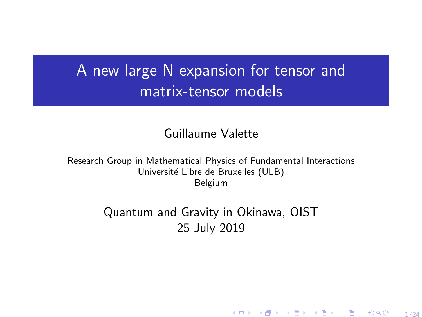# <span id="page-0-0"></span>A new large N expansion for tensor and matrix-tensor models

Guillaume Valette

Research Group in Mathematical Physics of Fundamental Interactions Université Libre de Bruxelles (ULB) Belgium

> Quantum and Gravity in Okinawa, OIST 25 July 2019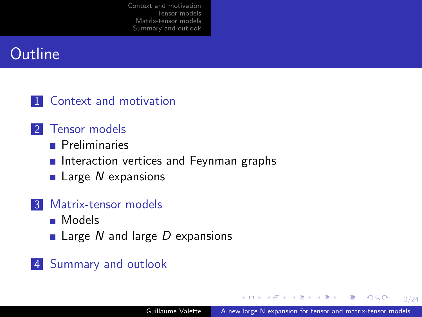# **Outline**

#### 1 [Context and motivation](#page-2-0)

- 2 [Tensor models](#page-13-0)
	- **[Preliminaries](#page-13-0)**
	- **[Interaction vertices and Feynman graphs](#page-16-0)**
	- $\blacksquare$  Large N [expansions](#page-20-0)

#### 3 [Matrix-tensor models](#page-28-0)

- [Models](#page-28-0)
- **Large N and large D [expansions](#page-30-0)**

#### 4 [Summary and outlook](#page-33-0)

2/24

(B)  $QQ$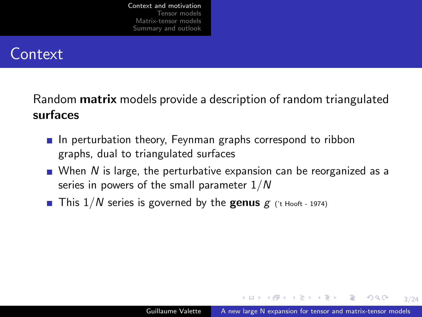## <span id="page-2-0"></span>**Context**

Random **matrix** models provide a description of random triangulated surfaces

- $\blacksquare$  In perturbation theory, Feynman graphs correspond to ribbon graphs, dual to triangulated surfaces
- When N is large, the perturbative expansion can be reorganized as a series in powers of the small parameter  $1/N$
- **This 1/N** series is governed by the **genus**  $g$  (*t* Hooft 1974)

**KORK ERKER ADAM DI SAGA**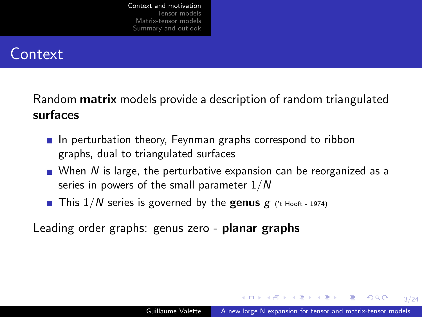## **Context**

Random **matrix** models provide a description of random triangulated surfaces

- $\blacksquare$  In perturbation theory, Feynman graphs correspond to ribbon graphs, dual to triangulated surfaces
- When N is large, the perturbative expansion can be reorganized as a series in powers of the small parameter  $1/N$
- **This 1/N** series is governed by the **genus**  $g$  (*t* Hooft 1974)

Leading order graphs: genus zero - **planar graphs** 

**KORK ERKER KERKER**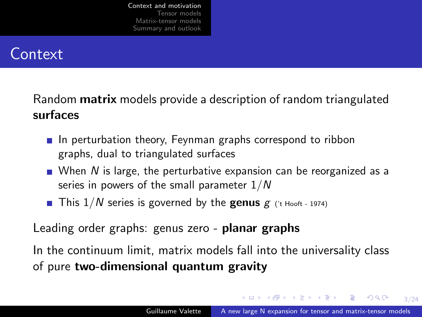## **Context**

Random **matrix** models provide a description of random triangulated surfaces

- $\blacksquare$  In perturbation theory, Feynman graphs correspond to ribbon graphs, dual to triangulated surfaces
- When N is large, the perturbative expansion can be reorganized as a series in powers of the small parameter  $1/N$
- **This 1/N** series is governed by the **genus**  $g$  (*t* Hooft 1974)

Leading order graphs: genus zero - **planar graphs** 

In the continuum limit, matrix models fall into the universality class of pure two-dimensional quantum gravity

**KORK ERKER KERKER**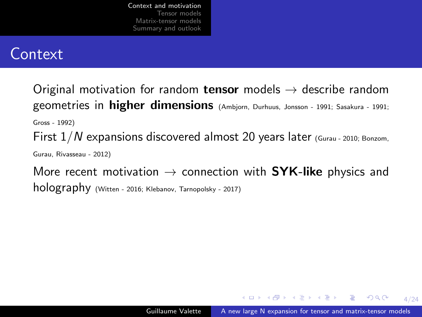### **Context**

Original motivation for random tensor models  $\rightarrow$  describe random geometries in higher dimensions (Ambjorn, Durhuus, Jonsson - 1991; Sasakura - 1991; Gross - 1992) First  $1/N$  expansions discovered almost 20 years later (Gurau - 2010; Bonzom, Gurau, Rivasseau - 2012) More recent motivation  $\rightarrow$  connection with SYK-like physics and

holography (Witten - 2016; Klebanov, Tarnopolsky - 2017)

**KORK ERKER ADAM DI SAGA**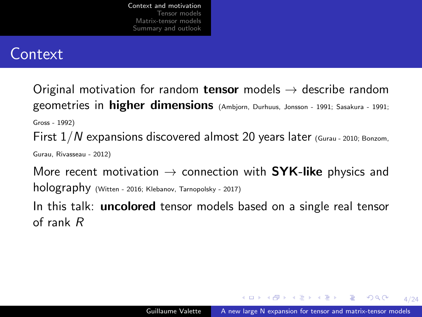### **Context**

Original motivation for random **tensor** models  $\rightarrow$  describe random geometries in higher dimensions (Ambjorn, Durhuus, Jonsson - 1991; Sasakura - 1991; Gross - 1992) First  $1/N$  expansions discovered almost 20 years later (Gurau - 2010; Bonzom, Gurau, Rivasseau - 2012)

More recent motivation  $\rightarrow$  connection with SYK-like physics and holography (Witten - 2016; Klebanov, Tarnopolsky - 2017)

In this talk: **uncolored** tensor models based on a single real tensor of rank R

**KORK ERKER ADAM DI SAGA**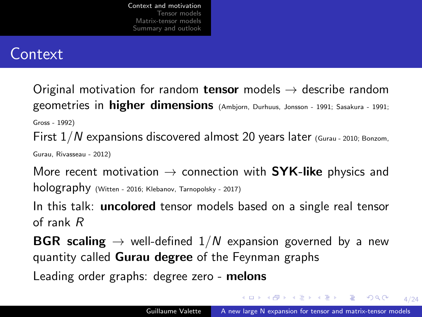## **Context**

Original motivation for random **tensor** models  $\rightarrow$  describe random geometries in higher dimensions (Ambjorn, Durhuus, Jonsson - 1991; Sasakura - 1991; Gross - 1992) First  $1/N$  expansions discovered almost 20 years later (Gurau - 2010; Bonzom,

Gurau, Rivasseau - 2012)

More recent motivation  $\rightarrow$  connection with SYK-like physics and holography (Witten - 2016; Klebanov, Tarnopolsky - 2017)

In this talk: **uncolored** tensor models based on a single real tensor of rank R

**BGR scaling**  $\rightarrow$  well-defined  $1/N$  expansion governed by a new quantity called Gurau degree of the Feynman graphs

Leading order graphs: degree zero - melons

**KORK ERKER KERKER**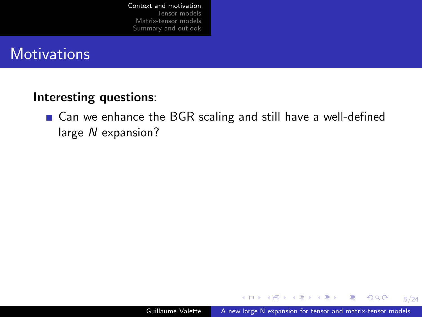### **Motivations**

#### Interesting questions:

■ Can we enhance the BGR scaling and still have a well-defined large N expansion?

イロメ イ母メ イ君メ イ君メー

5/24

 $\mathbf{F}$   $\Omega$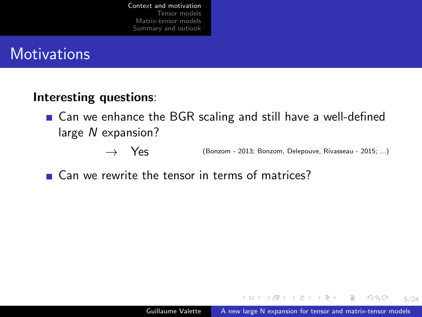## **Motivations**

#### Interesting questions:

- Can we enhance the BGR scaling and still have a well-defined large N expansion?
	- → Yes (Bonzom 2013; Bonzom, Delepouve, Rivasseau 2015; ...)
- Can we rewrite the tensor in terms of matrices?

**KORK ERKER ADAM DI SAGA**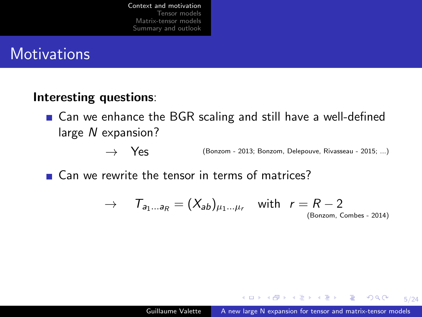## **Motivations**

#### Interesting questions:

- Can we enhance the BGR scaling and still have a well-defined large N expansion?
	- → Yes (Bonzom 2013; Bonzom, Delepouve, Rivasseau 2015; ...)

■ Can we rewrite the tensor in terms of matrices?

 $\rightarrow$   $T_{a_1...a_n} = (X_{ab})_{u_1...u_r}$  with  $r = R-2$ (Bonzom, Combes - 2014)

K ロ ▶ K (日) → K ヨ → K ヨ → X → D A Q Q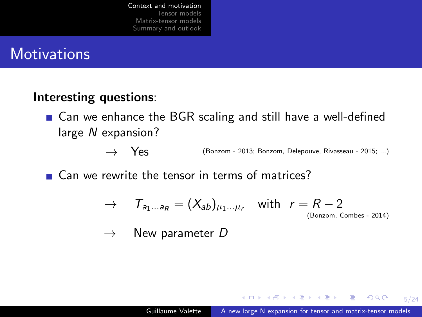## **Motivations**

#### Interesting questions:

- Can we enhance the BGR scaling and still have a well-defined large N expansion?
	- → Yes (Bonzom 2013; Bonzom, Delepouve, Rivasseau 2015; ...)

■ Can we rewrite the tensor in terms of matrices?

$$
\rightarrow \quad \tau_{a_1...a_R} = (X_{ab})_{\mu_1...\mu_r} \quad \text{with} \quad r = R-2
$$
\n(Bonzom, Combes - 2014)

$$
\rightarrow \quad
$$
 New parameter D

**KORK ERKER ADAM DI SAGA**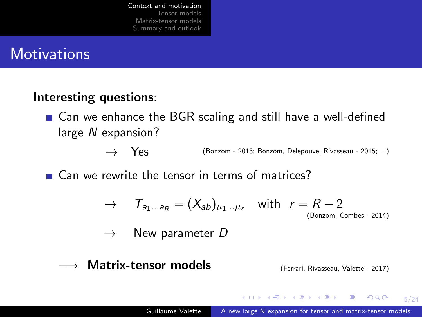## **Motivations**

#### Interesting questions:

■ Can we enhance the BGR scaling and still have a well-defined large N expansion?

→ Yes (Bonzom - 2013; Bonzom, Delepouve, Rivasseau - 2015; ...)

■ Can we rewrite the tensor in terms of matrices?

 $\rightarrow$   $T_{a_1...a_n} = (X_{ab})_{u_1...u_r}$  with  $r = R-2$ (Bonzom, Combes - 2014)

 $\rightarrow$  New parameter D

#### $\longrightarrow$  Matrix-tensor models (Ferrari, Rivasseau, Valette - 2017)

**KORK ERKER KERKER**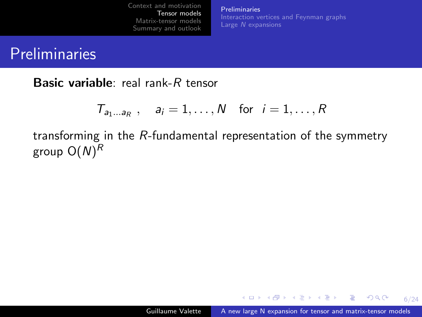[Preliminaries](#page-14-0) [Interaction vertices and Feynman graphs](#page-16-0)

## <span id="page-13-0"></span>**Preliminaries**

Basic variable: real rank-R tensor

$$
T_{a_1\ldots a_R} , \quad a_i = 1, \ldots, N \quad \text{for} \quad i = 1, \ldots, R
$$

transforming in the R-fundamental representation of the symmetry group  $\mathsf{O}(N)^R$ 

 $\mathbf{1} \oplus \mathbf{1} \oplus \mathbf{1} \oplus \mathbf{1} \oplus \mathbf{1} \oplus \mathbf{1} \oplus \mathbf{1} \oplus \mathbf{1} \oplus \mathbf{1} \oplus \mathbf{1} \oplus \mathbf{1} \oplus \mathbf{1} \oplus \mathbf{1} \oplus \mathbf{1} \oplus \mathbf{1} \oplus \mathbf{1} \oplus \mathbf{1} \oplus \mathbf{1} \oplus \mathbf{1} \oplus \mathbf{1} \oplus \mathbf{1} \oplus \mathbf{1} \oplus \mathbf{1} \oplus \mathbf{1} \oplus \mathbf{$ 

6/24

 $QQ$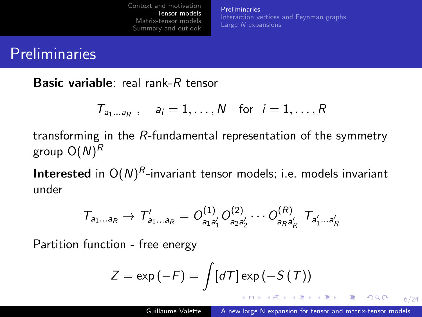[Preliminaries](#page-13-0) [Interaction vertices and Feynman graphs](#page-16-0) Large N [expansions](#page-20-0)

## <span id="page-14-0"></span>**Preliminaries**

Basic variable: real rank-R tensor

$$
T_{a_1\ldots a_R} , \quad a_i = 1, \ldots, N \quad \text{for} \quad i = 1, \ldots, R
$$

transforming in the R-fundamental representation of the symmetry group  $\mathsf{O}(N)^R$ 

**Interested** in  $O(N)^R$ -invariant tensor models; i.e. models invariant under

$$
T_{a_1...a_R} \rightarrow T'_{a_1...a_R} = O^{(1)}_{a_1a'_1} O^{(2)}_{a_2a'_2} \cdots O^{(R)}_{a_Ra'_R} T_{a'_1...a'_R}
$$

Partition function - free energy

$$
Z = \exp(-F) = \int [dT] \exp(-S(T))
$$

6/24

 $QQ$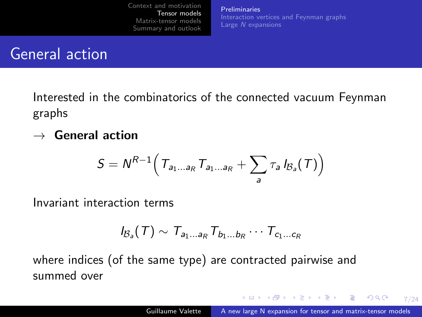[Preliminaries](#page-13-0) [Interaction vertices and Feynman graphs](#page-16-0) Large N [expansions](#page-20-0)

### General action

Interested in the combinatorics of the connected vacuum Feynman graphs

 $\rightarrow$  General action

$$
S = N^{R-1} \Big( T_{a_1 \ldots a_R} T_{a_1 \ldots a_R} + \sum_{a} \tau_a I_{\mathcal{B}_a}(T) \Big)
$$

Invariant interaction terms

$$
I_{\mathcal{B}_a}(T) \sim T_{a_1...a_R} T_{b_1...b_R} \cdots T_{c_1...c_R}
$$

where indices (of the same type) are contracted pairwise and summed over

K ロ ▶ K @ ▶ K 할 ▶ K 할 ▶ → 할 → 9 Q @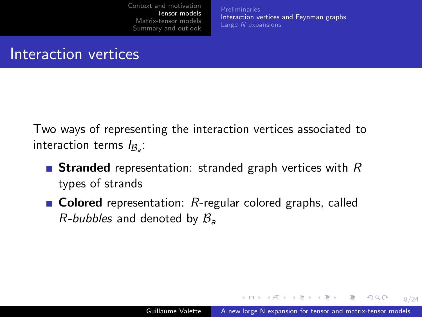[Preliminaries](#page-13-0) [Interaction vertices and Feynman graphs](#page-16-0) Large N [expansions](#page-20-0)

### <span id="page-16-0"></span>Interaction vertices

Two ways of representing the interaction vertices associated to interaction terms  $I_{{\mathcal B}_a}$ :

- **Stranded** representation: stranded graph vertices with  $R$ types of strands
- **Colored** representation:  $R$ -regular colored graphs, called *R-bubbles* and denoted by  $B_a$

 $\mathbf{C} = \{ \mathbf{C} \in \mathbb{R} \mid \mathbf{C} \in \mathbb{R} \mid \mathbf{C} \in \mathbb{R} \text{ and } \mathbf{C} \in \mathbb{R} \text{ and } \mathbf{C} \in \mathbb{R} \text{ and } \mathbf{C} \in \mathbb{R} \text{ and } \mathbf{C} \in \mathbb{R} \text{ and } \mathbf{C} \in \mathbb{R} \text{ and } \mathbf{C} \in \mathbb{R} \text{ and } \mathbf{C} \in \mathbb{R} \text{ and } \mathbf{C} \in \mathbb{R} \text{ and } \mathbf{C} \in$ 

8/24

 $2990$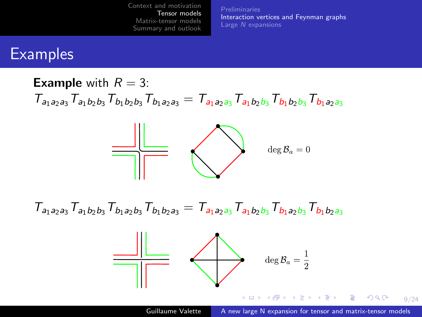**[Preliminaries](#page-13-0)** [Interaction vertices and Feynman graphs](#page-16-0)

## **Examples**

**Example** with  $R = 3$ :  $T_{a_1a_2a_3}T_{a_1b_2b_3}T_{b_1b_2b_3}T_{b_1a_2a_3} = T_{a_1a_2a_3}T_{a_1b_2b_3}T_{b_1b_2b_3}T_{b_1a_2a_3}$ 



 $T_{a_1a_2a_3}T_{a_1b_2b_3}T_{b_1a_2b_3}T_{b_1b_2a_3} = T_{a_1a_2a_3}T_{a_1b_2b_3}T_{b_1a_2b_3}T_{b_1b_2a_3}$ 

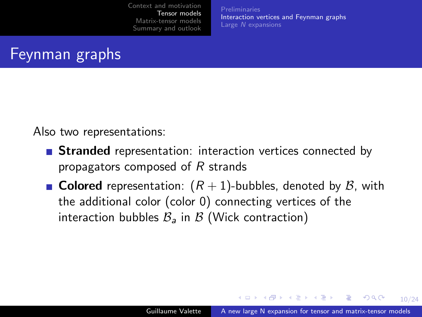[Preliminaries](#page-13-0) [Interaction vertices and Feynman graphs](#page-16-0) Large N [expansions](#page-20-0)

# Feynman graphs

Also two representations:

- **Stranded** representation: interaction vertices connected by propagators composed of R strands
- **Colored** representation:  $(R + 1)$ -bubbles, denoted by  $\mathcal{B}$ , with the additional color (color 0) connecting vertices of the interaction bubbles  $\mathcal{B}_{a}$  in  $\mathcal{B}$  (Wick contraction)

**KO F KAF KEF KE KARA**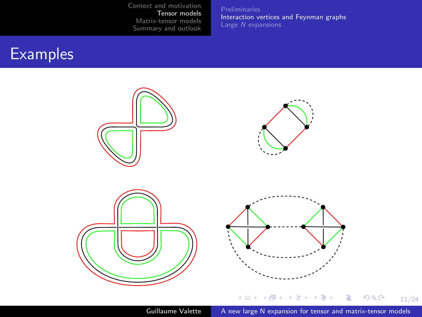**[Preliminaries](#page-13-0)** [Interaction vertices and Feynman graphs](#page-16-0)

# **Examples**



Guillaume Valette [A new large N expansion for tensor and matrix-tensor models](#page-0-0)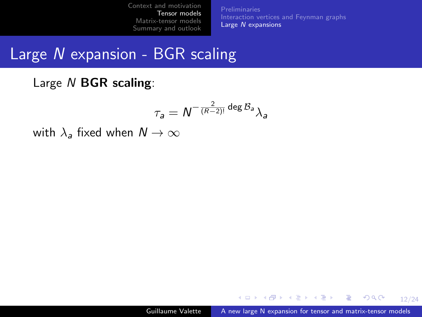[Interaction vertices and Feynman graphs](#page-16-0) Large N [expansions](#page-21-0)

# <span id="page-20-0"></span>Large N expansion - BGR scaling

Large N **BGR** scaling:

$$
\tau_{\mathsf{a}} = \mathsf{N}^{-\frac{2}{(\mathsf{R}-2)!}}\deg \mathcal{B}_{\mathsf{a}}{}_{\mathsf{\lambda}_{\mathsf{a}}}
$$

with  $\lambda_a$  fixed when  $N \to \infty$ 

**KO > KA > KE > KE > E AQA**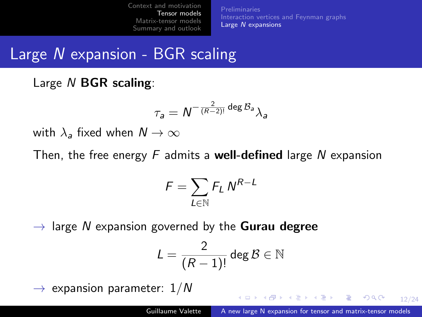[Preliminaries](#page-13-0) [Interaction vertices and Feynman graphs](#page-16-0) Large N [expansions](#page-20-0)

# <span id="page-21-0"></span>Large N expansion - BGR scaling

Large N **BGR** scaling:

$$
\tau_{\mathsf{a}} = \mathsf{N}^{-\frac{2}{(\mathsf{R}-2)!}}\deg \mathcal{B}_{\mathsf{a}}{}_{\mathsf{\lambda}_{\mathsf{a}}}
$$

with  $\lambda_a$  fixed when  $N \to \infty$ 

Then, the free energy  $F$  admits a **well-defined** large N expansion

$$
\mathit{F} = \sum_{\mathit{L} \in \mathbb{N}} \mathit{F}_\mathit{L} \, \mathit{N}^\mathit{R-L}
$$

 $\rightarrow$  large N expansion governed by the **Gurau degree** 

$$
L=\frac{2}{(R-1)!}\deg \mathcal{B}\in \mathbb{N}
$$

 $\rightarrow$  expansion parameter:  $1/N$ 

**KO > KA > KE > KE > E AQA**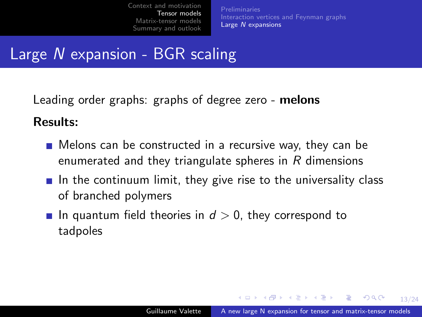[Preliminaries](#page-13-0) [Interaction vertices and Feynman graphs](#page-16-0) Large N [expansions](#page-20-0)

# Large N expansion - BGR scaling

Leading order graphs: graphs of degree zero - melons

Results:

- Melons can be constructed in a recursive way, they can be enumerated and they triangulate spheres in  $R$  dimensions
- In the continuum limit, they give rise to the universality class of branched polymers
- In quantum field theories in  $d > 0$ , they correspond to tadpoles

**KO > KA > KE > KE > E AQA**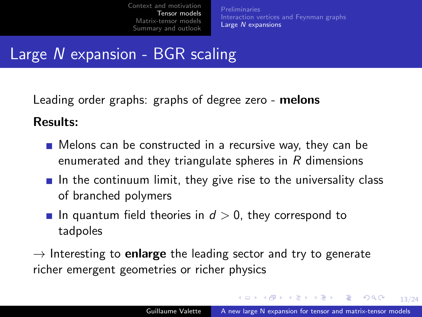[Preliminaries](#page-13-0) [Interaction vertices and Feynman graphs](#page-16-0) Large N [expansions](#page-20-0)

# Large N expansion - BGR scaling

Leading order graphs: graphs of degree zero - melons

Results:

- Melons can be constructed in a recursive way, they can be enumerated and they triangulate spheres in  $R$  dimensions
- In the continuum limit, they give rise to the universality class of branched polymers
- In quantum field theories in  $d > 0$ , they correspond to tadpoles

 $\rightarrow$  Interesting to **enlarge** the leading sector and try to generate richer emergent geometries or richer physics

KID KAR KERKER E 1990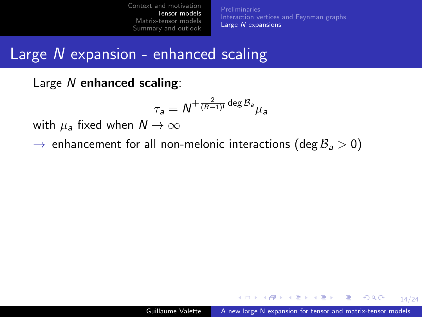[Interaction vertices and Feynman graphs](#page-16-0) Large N [expansions](#page-20-0)

### Large N expansion - enhanced scaling

Large N enhanced scaling:

$$
\tau_{\mathsf{a}} = \mathsf{N}^{+\frac{2}{(\mathsf{R}-1)!}\deg \mathcal{B}_{\mathsf{a}}}\mu_{\mathsf{a}}
$$

with  $\mu_a$  fixed when  $N \to \infty$ 

 $\rightarrow$  enhancement for all non-melonic interactions (deg  $\mathcal{B}_a > 0$ )

**KO > KA > KE > KE > E AQA**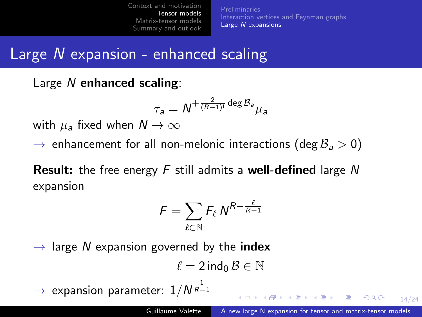[Preliminaries](#page-13-0) [Interaction vertices and Feynman graphs](#page-16-0) Large N [expansions](#page-20-0)

## Large N expansion - enhanced scaling

Large N enhanced scaling:

$$
\tau_{\mathsf{a}} = \mathsf{N}^{+\frac{2}{(\mathsf{R}-1)!}\deg \mathcal{B}_{\mathsf{a}}}\mu_{\mathsf{a}}
$$

with  $\mu_a$  fixed when  $N \to \infty$ 

 $\rightarrow$  enhancement for all non-melonic interactions (deg  $\mathcal{B}_a > 0$ )

**Result:** the free energy  $F$  still admits a well-defined large  $N$ expansion

$$
\digamma = \sum_{\ell \in \mathbb{N}} \digamma_{\ell} \, \mathsf{N}^{R - \frac{\ell}{R-1}}
$$

 $\rightarrow$  large N expansion governed by the **index** 

$$
\ell=2\mathop{\text{\rm ind}}\nolimits_0\mathcal{B}\in\mathbb{N}
$$

 $\;\rightarrow$  expansion parameter:  $1/N^{\frac{1}{R-1}}$ 

**KO > KA > KE > KE > E AQA**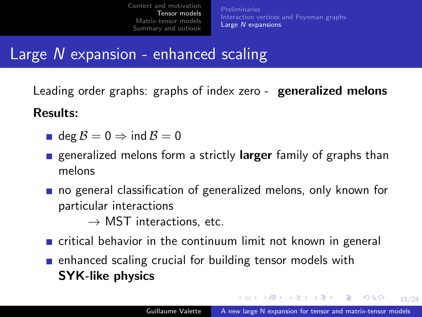[Preliminaries](#page-13-0) [Interaction vertices and Feynman graphs](#page-16-0) Large N [expansions](#page-20-0)

## Large N expansion - enhanced scaling

Leading order graphs: graphs of index zero - **generalized melons** 

Results:

- **d**eg  $B = 0 \Rightarrow \text{ind } B = 0$
- generalized melons form a strictly larger family of graphs than melons
- no general classification of generalized melons, only known for particular interactions

 $\rightarrow$  MST interactions, etc.

- critical behavior in the continuum limit not known in general
- **E** enhanced scaling crucial for building tensor models with SYK-like physics

**KO > KA > KE > KE > E AQA**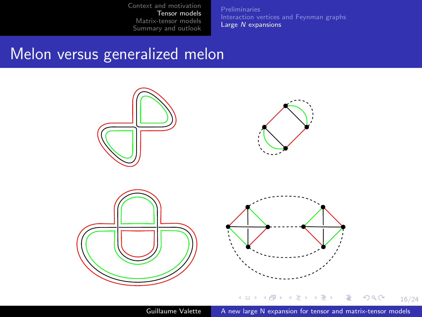**[Preliminaries](#page-13-0)** [Interaction vertices and Feynman graphs](#page-16-0) Large N [expansions](#page-20-0)

### <span id="page-27-0"></span>Melon versus generalized melon

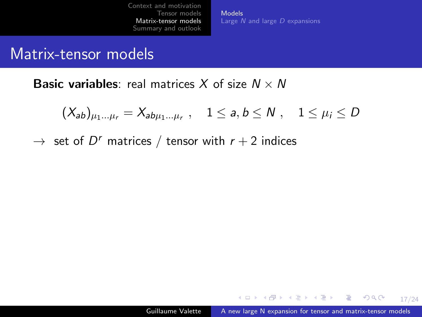[Models](#page-29-0) Large  $N$  and large  $D$  [expansions](#page-30-0)

#### <span id="page-28-0"></span>Matrix-tensor models

**Basic variables:** real matrices X of size  $N \times N$ 

$$
(X_{ab})_{\mu_1...\mu_r} = X_{ab\mu_1...\mu_r}
$$
,  $1 \le a, b \le N$ ,  $1 \le \mu_i \le D$ 

 $\rightarrow$  set of  $D^r$  matrices  $/$  tensor with  $r+2$  indices

**KO > KA > KE > KE > E AQA**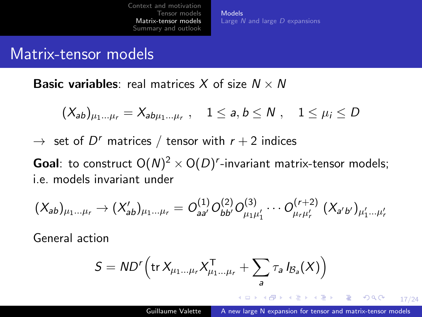[Models](#page-28-0) Large N and large D [expansions](#page-30-0)

#### <span id="page-29-0"></span>Matrix-tensor models

**Basic variables:** real matrices X of size  $N \times N$ 

$$
(X_{ab})_{\mu_1\ldots\mu_r}=X_{ab\mu_1\ldots\mu_r}\ ,\quad 1\leq a,b\leq N\ ,\quad 1\leq\mu_i\leq D
$$

 $\rightarrow$  set of  $D^r$  matrices  $/$  tensor with  $r+2$  indices

**Goal**: to construct  $O(N)^2 \times O(D)^r$ -invariant matrix-tensor models; i.e. models invariant under

$$
(X_{ab})_{\mu_1...\mu_r} \rightarrow (X'_{ab})_{\mu_1...\mu_r} = O^{(1)}_{aa'} O^{(2)}_{bb'} O^{(3)}_{\mu_1\mu'_1} \cdots O^{(r+2)}_{\mu_r\mu'_r} (X_{a'b'})_{\mu'_1...\mu'_r}
$$

General action

$$
S = \mathit{ND}^r \left( \mathsf{tr} \, X_{\mu_1 \dots \mu_r} X_{\mu_1 \dots \mu_r}^{\mathsf{T}} + \sum_{a} \tau_a \, I_{\mathcal{B}_a}(X) \right)
$$

**KO > KA > KE > KE > E AQA**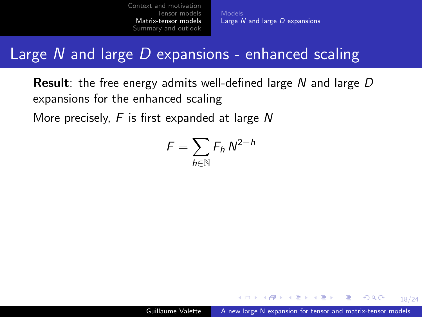Large N and large D [expansions](#page-32-0)

## <span id="page-30-0"></span>Large  $N$  and large  $D$  expansions - enhanced scaling

**Result**: the free energy admits well-defined large N and large  $D$ expansions for the enhanced scaling More precisely,  $F$  is first expanded at large  $N$ 

$$
F=\sum_{h\in\mathbb{N}}F_h\,N^{2-h}
$$

**KO > KA > KE > KE > E AQA**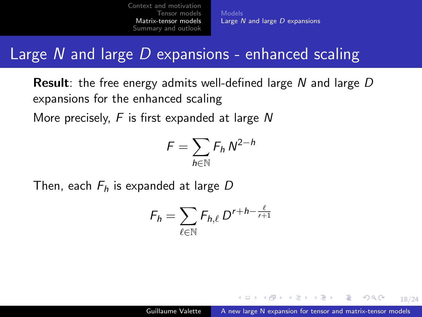Large  $\overline{N}$  and large  $\overline{D}$  [expansions](#page-32-0)

# <span id="page-31-0"></span>Large N and large  $D$  expansions - enhanced scaling

**Result**: the free energy admits well-defined large N and large  $D$ expansions for the enhanced scaling More precisely,  $F$  is first expanded at large  $N$ 

$$
F=\sum_{h\in\mathbb{N}}F_h\,N^{2-h}
$$

Then, each  $F_h$  is expanded at large D

$$
F_h = \sum_{\ell \in \mathbb{N}} F_{h,\ell} D^{r+h-\frac{\ell}{r+1}}
$$

**KO > KA > KE > KE > E AQA**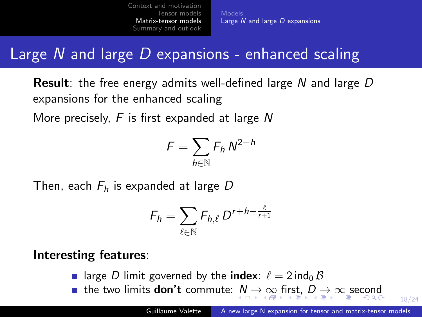[Models](#page-28-0) Large  $\overline{N}$  and large  $\overline{D}$  [expansions](#page-30-0)

# <span id="page-32-0"></span>Large  $N$  and large  $D$  expansions - enhanced scaling

**Result**: the free energy admits well-defined large N and large  $D$ expansions for the enhanced scaling More precisely,  $F$  is first expanded at large N

$$
F=\sum_{h\in\mathbb{N}}F_h\,N^{2-h}
$$

Then, each  $F_h$  is expanded at large D

$$
F_h = \sum_{\ell \in \mathbb{N}} F_{h,\ell} D^{r+h-\frac{\ell}{r+1}}
$$

#### Interesting features:

- **•** large D limit governed by the **index**:  $\ell = 2$  ind<sub>0</sub> B
- **the two limit[s](#page-30-0) don't commute:**  $N \to \infty$  $N \to \infty$  [fi](#page-33-0)[r](#page-29-0)s[t,](#page-32-0)  $D \to \infty$  $D \to \infty$  [sec](#page-45-0)ond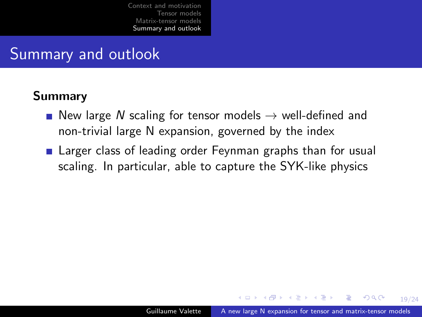## <span id="page-33-0"></span>Summary and outlook

#### Summary

- New large N scaling for tensor models  $\rightarrow$  well-defined and non-trivial large N expansion, governed by the index
- **E** Larger class of leading order Feynman graphs than for usual scaling. In particular, able to capture the SYK-like physics

**KO F KAF KEF KE KARA**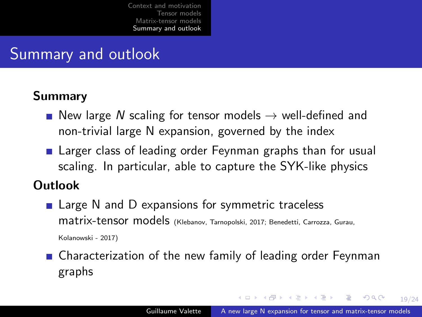# <span id="page-34-0"></span>Summary and outlook

#### Summary

- New large N scaling for tensor models  $\rightarrow$  well-defined and non-trivial large N expansion, governed by the index
- **E** Larger class of leading order Feynman graphs than for usual scaling. In particular, able to capture the SYK-like physics

#### Outlook

- Large N and D expansions for symmetric traceless matrix-tensor models (Klebanov, Tarnopolski, 2017; Benedetti, Carrozza, Gurau, Kolanowski - 2017)
- **n** Characterization of the new family of leading order Feynman graphs

**KO > KA > KE > KE > E AQA**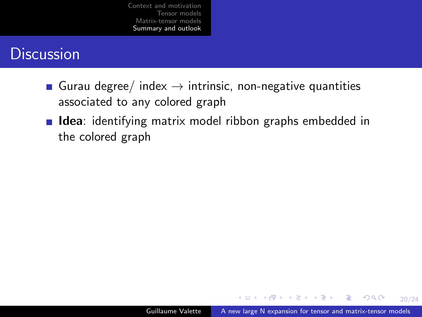### <span id="page-35-0"></span>**Discussion**

- Gurau degree/ index  $\rightarrow$  intrinsic, non-negative quantities associated to any colored graph
- **Idea**: identifying matrix model ribbon graphs embedded in the colored graph

**KO > KA > KE > KE > E AQA**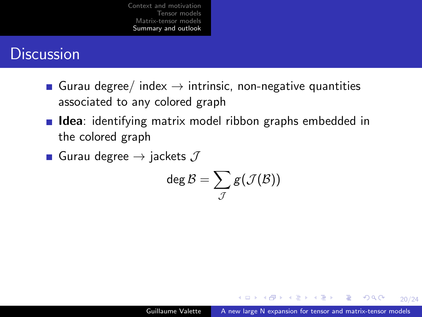### <span id="page-36-0"></span>**Discussion**

- Gurau degree/ index  $\rightarrow$  intrinsic, non-negative quantities associated to any colored graph
- **Idea**: identifying matrix model ribbon graphs embedded in the colored graph
- Gurau degree  $\rightarrow$  jackets  $J$

$$
\deg \mathcal{B} = \sum_{\mathcal{J}} \mathcal{g}(\mathcal{J}(\mathcal{B}))
$$

**KO > KA > KE > KE > E AQA**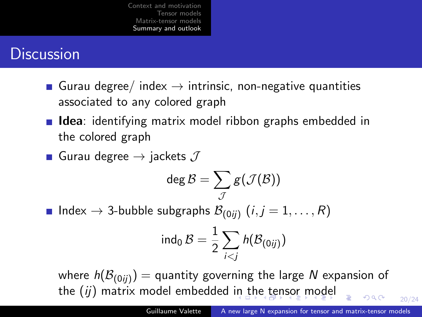## <span id="page-37-0"></span>**Discussion**

- Gurau degree/ index  $\rightarrow$  intrinsic, non-negative quantities associated to any colored graph
- **Idea**: identifying matrix model ribbon graphs embedded in the colored graph

■ Gurau degree 
$$
\rightarrow
$$
 jackets  $\mathcal J$ 

$$
\deg \mathcal{B} = \sum_{\mathcal{J}} g(\mathcal{J}(\mathcal{B}))
$$

Index  $\rightarrow$  3-bubble subgraphs  $\mathcal{B}_{(0ij)}$   $(i,j=1,\ldots,R)$ 

$$
\operatorname{ind}_0 \mathcal{B} = \frac{1}{2} \sum_{i < j} h(\mathcal{B}_{(0ij)})
$$

where  $h(\mathcal{B}_{(0ij)}) =$  quantity governing the large  $N$  expansion of [th](#page-38-0)[e](#page-37-0)  $(ij)$  matrix model embedded [in](#page-36-0) [t](#page-35-0)he te[n](#page-38-0)[s](#page-32-0)[or](#page-33-0) [m](#page-45-0)[o](#page-32-0)[del](#page-45-0)  $299$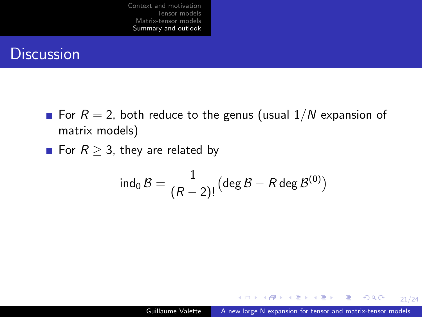### <span id="page-38-0"></span>**Discussion**

- For  $R = 2$ , both reduce to the genus (usual  $1/N$  expansion of matrix models)
- For  $R > 3$ , they are related by

$$
\mathsf{ind}_0 \, \mathcal{B} = \frac{1}{(R-2)!} \bigl( \deg \mathcal{B} - R \deg \mathcal{B}^{(0)} \bigr)
$$

**KO > KA > KE > KE > E AQA**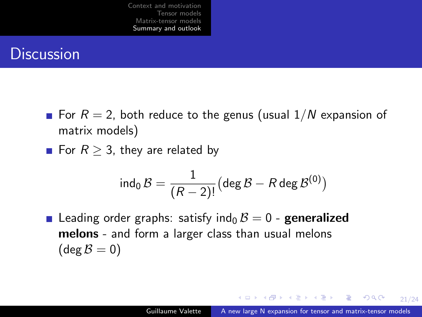### **Discussion**

- For  $R = 2$ , both reduce to the genus (usual  $1/N$  expansion of matrix models)
- For  $R > 3$ , they are related by

$$
\mathsf{ind}_0 \, \mathcal{B} = \frac{1}{(R-2)!} \bigl( \deg \mathcal{B} - R \deg \mathcal{B}^{(0)} \bigr)
$$

**Leading order graphs: satisfy ind<sub>0</sub>**  $\beta = 0$  **- generalized** melons - and form a larger class than usual melons  $(\text{deg }\mathcal{B}=0)$ 

**KO F KAF KEF KE KARA**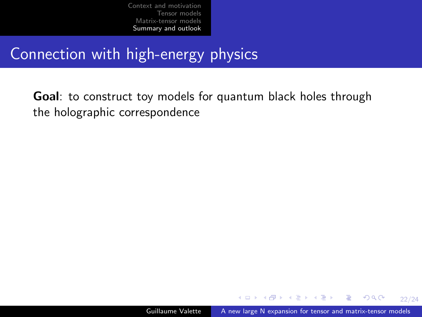# Connection with high-energy physics

Goal: to construct toy models for quantum black holes through the holographic correspondence

**KO > KA > KE > KE > E AQA**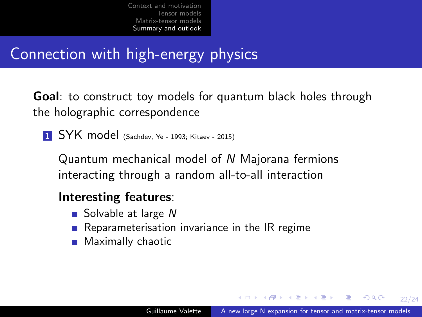# Connection with high-energy physics

Goal: to construct toy models for quantum black holes through the holographic correspondence

**1 SYK model** (Sachdev, Ye - 1993; Kitaev - 2015)

Quantum mechanical model of N Majorana fermions interacting through a random all-to-all interaction

#### Interesting features:

- Solvable at large  $N$
- Reparameterisation invariance in the IR regime
- **Maximally chaotic**

**KED KAD KED KED E VOOR**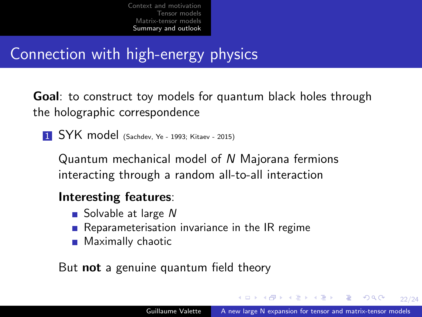# Connection with high-energy physics

Goal: to construct toy models for quantum black holes through the holographic correspondence

**1 SYK model** (Sachdev, Ye - 1993; Kitaev - 2015)

Quantum mechanical model of N Majorana fermions interacting through a random all-to-all interaction

#### Interesting features:

- Solvable at large  $N$
- Reparameterisation invariance in the IR regime
- **Maximally chaotic**

But **not** a genuine quantum field theory

**KORK ER KERK ADA KORK**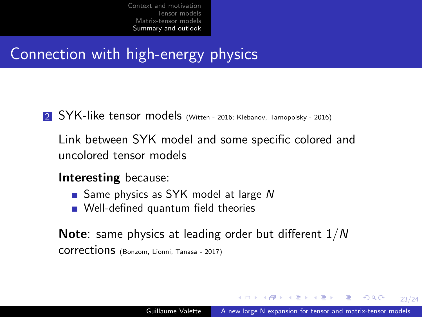# Connection with high-energy physics

- 2 SYK-like tensor models (Witten 2016; Klebanov, Tarnopolsky 2016)
	- Link between SYK model and some specific colored and uncolored tensor models
	- Interesting because:
		- Same physics as SYK model at large  $N$
		- Well-defined quantum field theories

Note: same physics at leading order but different 1/N corrections (Bonzom, Lionni, Tanasa - 2017)

**KO F KAF KEF KE KARA**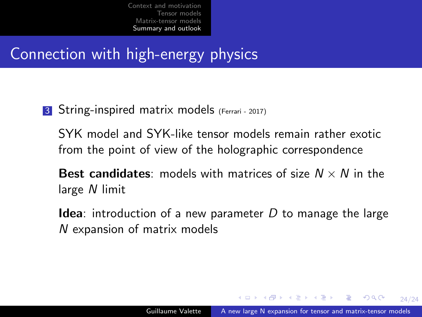# Connection with high-energy physics

3 String-inspired matrix models (Ferrari - 2017)

SYK model and SYK-like tensor models remain rather exotic from the point of view of the holographic correspondence

- **Best candidates:** models with matrices of size  $N \times N$  in the large N limit
- **Idea:** introduction of a new parameter  $D$  to manage the large N expansion of matrix models

**KO > KA > KE > KE > E AQA**